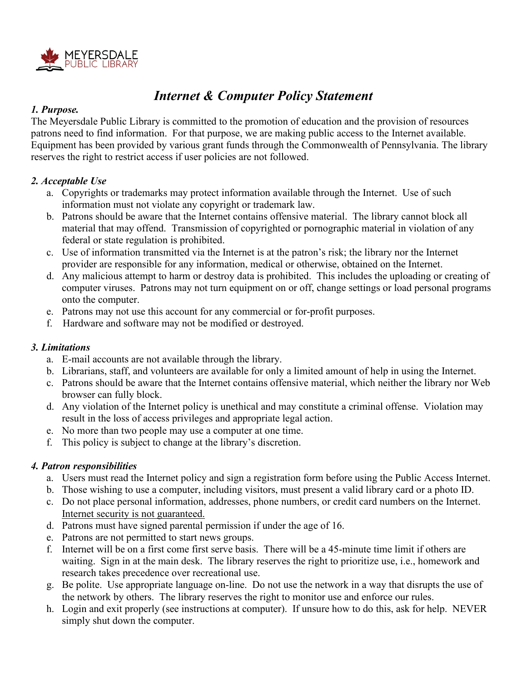

# *Internet & Computer Policy Statement*

## *1. Purpose.*

The Meyersdale Public Library is committed to the promotion of education and the provision of resources patrons need to find information. For that purpose, we are making public access to the Internet available. Equipment has been provided by various grant funds through the Commonwealth of Pennsylvania. The library reserves the right to restrict access if user policies are not followed.

#### *2. Acceptable Use*

- a. Copyrights or trademarks may protect information available through the Internet. Use of such information must not violate any copyright or trademark law.
- b. Patrons should be aware that the Internet contains offensive material. The library cannot block all material that may offend. Transmission of copyrighted or pornographic material in violation of any federal or state regulation is prohibited.
- c. Use of information transmitted via the Internet is at the patron's risk; the library nor the Internet provider are responsible for any information, medical or otherwise, obtained on the Internet.
- d. Any malicious attempt to harm or destroy data is prohibited. This includes the uploading or creating of computer viruses. Patrons may not turn equipment on or off, change settings or load personal programs onto the computer.
- e. Patrons may not use this account for any commercial or for-profit purposes.
- f. Hardware and software may not be modified or destroyed.

### *3. Limitations*

- a. E-mail accounts are not available through the library.
- b. Librarians, staff, and volunteers are available for only a limited amount of help in using the Internet.
- c. Patrons should be aware that the Internet contains offensive material, which neither the library nor Web browser can fully block.
- d. Any violation of the Internet policy is unethical and may constitute a criminal offense. Violation may result in the loss of access privileges and appropriate legal action.
- e. No more than two people may use a computer at one time.
- f. This policy is subject to change at the library's discretion.

## *4. Patron responsibilities*

- a. Users must read the Internet policy and sign a registration form before using the Public Access Internet.
- b. Those wishing to use a computer, including visitors, must present a valid library card or a photo ID.
- c. Do not place personal information, addresses, phone numbers, or credit card numbers on the Internet. Internet security is not guaranteed.
- d. Patrons must have signed parental permission if under the age of 16.
- e. Patrons are not permitted to start news groups.
- f. Internet will be on a first come first serve basis. There will be a 45-minute time limit if others are waiting. Sign in at the main desk. The library reserves the right to prioritize use, i.e., homework and research takes precedence over recreational use.
- g. Be polite. Use appropriate language on-line. Do not use the network in a way that disrupts the use of the network by others. The library reserves the right to monitor use and enforce our rules.
- h. Login and exit properly (see instructions at computer). If unsure how to do this, ask for help. NEVER simply shut down the computer.